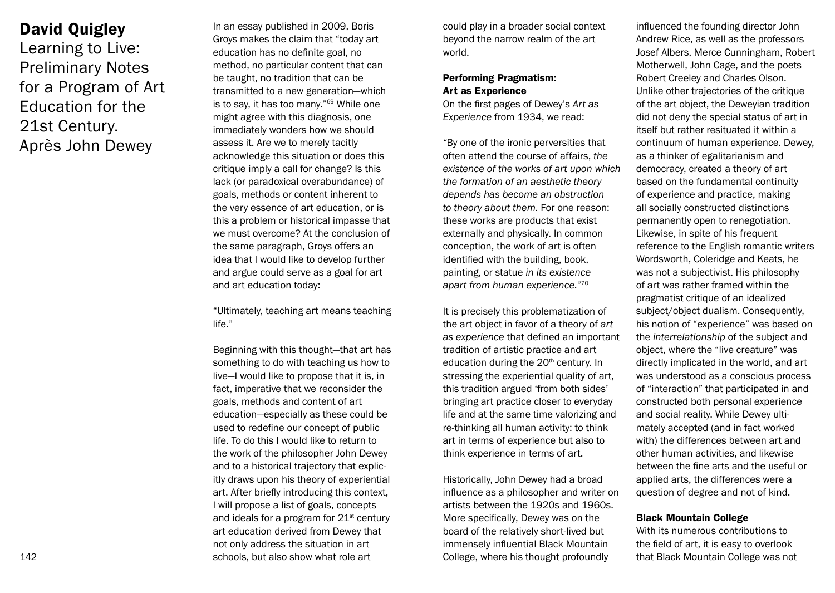# David Quigley

Learning to Live: Preliminary Notes for a Program of Art Education for the 21st Century. Après John Dewey

In an essay published in 2009, Boris Groys makes the claim that "today art education has no definite goal, no method, no particular content that can be taught, no tradition that can be transmitted to a new generation—which is to say, it has too many."69 While one might agree with this diagnosis, one immediately wonders how we should assess it. Are we to merely tacitly acknowledge this situation or does this critique imply a call for change? Is this lack (or paradoxical overabundance) of goals, methods or content inherent to the very essence of art education, or is this a problem or historical impasse that we must overcome? At the conclusion of the same paragraph, Groys offers an idea that I would like to develop further and argue could serve as a goal for art and art education today:

"Ultimately, teaching art means teaching life."

Beginning with this thought—that art has something to do with teaching us how to live—I would like to propose that it is, in fact, imperative that we reconsider the goals, methods and content of art education—especially as these could be used to redefine our concept of public life. To do this I would like to return to the work of the philosopher John Dewey and to a historical trajectory that explicitly draws upon his theory of experiential art. After briefly introducing this context, I will propose a list of goals, concepts and ideals for a program for  $21<sup>st</sup>$  century art education derived from Dewey that not only address the situation in art schools, but also show what role art

could play in a broader social context beyond the narrow realm of the art world.

# Performing Pragmatism: Art as Experience

On the first pages of Dewey's *Art as Experience* from 1934, we read:

*"*By one of the ironic perversities that often attend the course of affairs, *the existence of the works of art upon which the formation of an aesthetic theory depends has become an obstruction to theory about them.* For one reason: these works are products that exist externally and physically. In common conception, the work of art is often identified with the building, book, painting, or statue *in its existence apart from human experience."*<sup>70</sup>

It is precisely this problematization of the art object in favor of a theory of *art as experience* that defined an important tradition of artistic practice and art education during the 20<sup>th</sup> century. In stressing the experiential quality of art. this tradition argued 'from both sides' bringing art practice closer to everyday life and at the same time valorizing and re-thinking all human activity: to think art in terms of experience but also to think experience in terms of art.

Historically, John Dewey had a broad influence as a philosopher and writer on artists between the 1920s and 1960s. More specifically, Dewey was on the board of the relatively short-lived but immensely influential Black Mountain College, where his thought profoundly

influenced the founding director John Andrew Rice, as well as the professors Josef Albers, Merce Cunningham, Robert Motherwell, John Cage, and the poets Robert Creeley and Charles Olson. Unlike other trajectories of the critique of the art object, the Deweyian tradition did not deny the special status of art in itself but rather resituated it within a continuum of human experience. Dewey, as a thinker of egalitarianism and democracy, created a theory of art based on the fundamental continuity of experience and practice, making all socially constructed distinctions permanently open to renegotiation. Likewise, in spite of his frequent reference to the English romantic writers Wordsworth, Coleridge and Keats, he was not a subjectivist. His philosophy of art was rather framed within the pragmatist critique of an idealized subject/object dualism. Consequently, his notion of "experience" was based on the *interrelationship* of the subject and object, where the "live creature" was directly implicated in the world, and art was understood as a conscious process of "interaction" that participated in and constructed both personal experience and social reality. While Dewey ultimately accepted (and in fact worked with) the differences between art and other human activities, and likewise between the fine arts and the useful or applied arts, the differences were a question of degree and not of kind.

## Black Mountain College

With its numerous contributions to the field of art, it is easy to overlook that Black Mountain College was not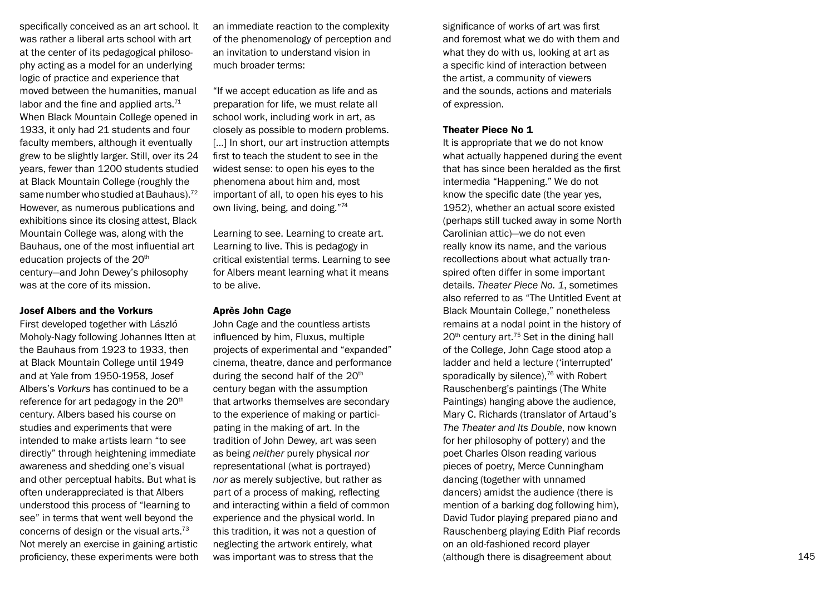specifically conceived as an art school. It was rather a liberal arts school with art at the center of its pedagogical philosophy acting as a model for an underlying logic of practice and experience that moved between the humanities, manual labor and the fine and applied arts. $71$ When Black Mountain College opened in 1933, it only had 21 students and four faculty members, although it eventually grew to be slightly larger. Still, over its 24 years, fewer than 1200 students studied at Black Mountain College (roughly the same number who studied at Bauhaus). $72$ However, as numerous publications and exhibitions since its closing attest, Black Mountain College was, along with the Bauhaus, one of the most influential art education projects of the 20<sup>th</sup> century—and John Dewey's philosophy was at the core of its mission.

#### Josef Albers and the Vorkurs

First developed together with László Moholy-Nagy following Johannes Itten at the Bauhaus from 1923 to 1933, then at Black Mountain College until 1949 and at Yale from 1950-1958, Josef Albers's *Vorkurs* has continued to be a reference for art pedagogy in the 20<sup>th</sup> century. Albers based his course on studies and experiments that were intended to make artists learn "to see directly" through heightening immediate awareness and shedding one's visual and other perceptual habits. But what is often underappreciated is that Albers understood this process of "learning to see" in terms that went well beyond the concerns of design or the visual arts.<sup>73</sup> Not merely an exercise in gaining artistic proficiency, these experiments were both an immediate reaction to the complexity of the phenomenology of perception and an invitation to understand vision in much broader terms:

"If we accept education as life and as preparation for life, we must relate all school work, including work in art, as closely as possible to modern problems. [...] In short, our art instruction attempts first to teach the student to see in the widest sense: to open his eyes to the phenomena about him and, most important of all, to open his eyes to his own living, being, and doing."<sup>74</sup>

Learning to see. Learning to create art. Learning to live. This is pedagogy in critical existential terms. Learning to see for Albers meant learning what it means to be alive.

#### Après John Cage

John Cage and the countless artists influenced by him, Fluxus, multiple projects of experimental and "expanded" cinema, theatre, dance and performance during the second half of the 20<sup>th</sup> century began with the assumption that artworks themselves are secondary to the experience of making or participating in the making of art. In the tradition of John Dewey, art was seen as being *neither* purely physical *nor* representational (what is portrayed) *nor* as merely subjective, but rather as part of a process of making, reflecting and interacting within a field of common experience and the physical world. In this tradition, it was not a question of neglecting the artwork entirely, what was important was to stress that the

significance of works of art was first and foremost what we do with them and what they do with us, looking at art as a specific kind of interaction between the artist, a community of viewers and the sounds, actions and materials of expression.

#### Theater Piece No 1

It is appropriate that we do not know what actually happened during the event that has since been heralded as the first intermedia "Happening." We do not know the specific date (the year yes, 1952), whether an actual score existed (perhaps still tucked away in some North Carolinian attic)—we do not even really know its name, and the various recollections about what actually transpired often differ in some important details. *Theater Piece No. 1*, sometimes also referred to as "The Untitled Event at Black Mountain College," nonetheless remains at a nodal point in the history of  $20<sup>th</sup>$  century art.<sup>75</sup> Set in the dining hall of the College, John Cage stood atop a ladder and held a lecture ('interrupted' sporadically by silence).<sup>76</sup> with Robert Rauschenberg's paintings (The White Paintings) hanging above the audience, Mary C. Richards (translator of Artaud's *The Theater and Its Double*, now known for her philosophy of pottery) and the poet Charles Olson reading various pieces of poetry, Merce Cunningham dancing (together with unnamed dancers) amidst the audience (there is mention of a barking dog following him), David Tudor playing prepared piano and Rauschenberg playing Edith Piaf records on an old-fashioned record player (although there is disagreement about 145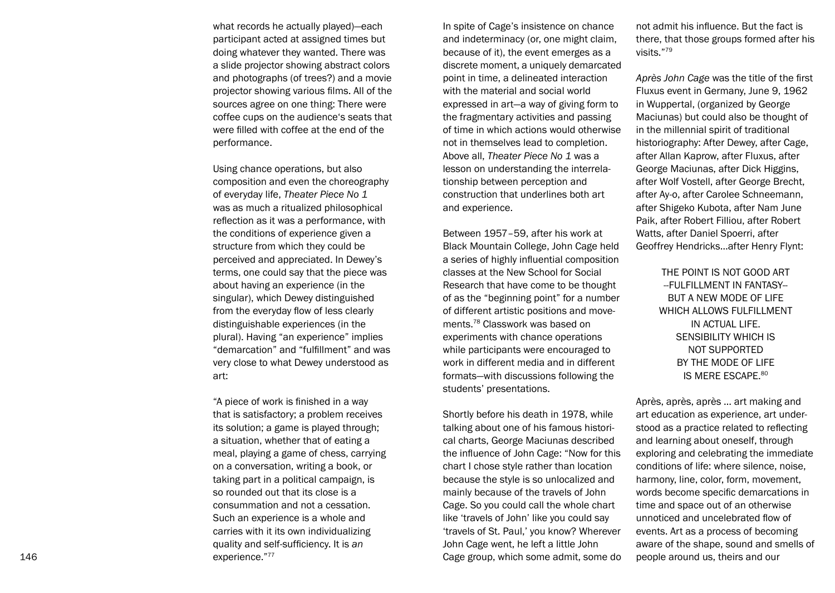what records he actually played)—each participant acted at assigned times but doing whatever they wanted. There was a slide projector showing abstract colors and photographs (of trees?) and a movie projector showing various films. All of the sources agree on one thing: There were coffee cups on the audience's seats that were filled with coffee at the end of the performance.

Using chance operations, but also composition and even the choreography of everyday life, *Theater Piece No 1* was as much a ritualized philosophical reflection as it was a performance, with the conditions of experience given a structure from which they could be perceived and appreciated. In Dewey's terms, one could say that the piece was about having an experience (in the singular), which Dewey distinguished from the everyday flow of less clearly distinguishable experiences (in the plural). Having "an experience" implies "demarcation" and "fulfillment" and was very close to what Dewey understood as art:

"A piece of work is finished in a way that is satisfactory; a problem receives its solution; a game is played through; a situation, whether that of eating a meal, playing a game of chess, carrying on a conversation, writing a book, or taking part in a political campaign, is so rounded out that its close is a consummation and not a cessation. Such an experience is a whole and carries with it its own individualizing quality and self-sufficiency. It is *an* experience."<sup>77</sup>

In spite of Cage's insistence on chance and indeterminacy (or, one might claim, because of it), the event emerges as a discrete moment, a uniquely demarcated point in time, a delineated interaction with the material and social world expressed in art—a way of giving form to the fragmentary activities and passing of time in which actions would otherwise not in themselves lead to completion. Above all, *Theater Piece No 1* was a lesson on understanding the interrela tionship between perception and construction that underlines both art and experience.

Be tween 1957–59, after his work at Black Mountain College, John Cage held a series of highly influential composition classes at the New School for Social Research that have come to be thought of as the "beginning point" for a number of different artistic positions and move ments.<sup>78</sup> Classwork was based on experiments with chance operations while participants were encouraged to work in different media and in different formats—with discussions following the students' presentations.

Sh ortly before his death in 1978, while talking about one of his famous histori cal charts, George Maciunas described the influence of John Cage: "Now for this chart I chose style rather than location because the style is so unlocalized and mainly because of the travels of John Cage. So you could call the whole chart like 'travels of John' like you could say 'travels of St. Paul,' you know? Wherever John Cage went, he left a little John Cage group, which some admit, some do not admit his influence. But the fact is there, that those groups formed after his visits."<sup>79</sup>

*Ap rès John Cage* was the title of the first Fluxus event in Germany, June 9, 1962 in Wuppertal, (organized by George Maciunas) but could also be thought of in the millennial spirit of traditional historiography: After Dewey, after Cage, after Allan Kaprow, after Fluxus, after George Maciunas, after Dick Higgins, after Wolf Vostell, after George Brecht, after Ay-o, after Carolee Schneemann, after Shigeko Kubota, after Nam June Paik, after Robert Filliou, after Robert Watts, after Daniel Spoerri, after Geoffrey Hendricks…after Henry Flynt:

> THE POINT IS NOT GOOD ART --FULFILLMENT IN FANTASY-- BUT A NEW MODE OF LIFE WHICH ALLOWS FULFILLMENT IN ACTUAL LIFE. SENSIBILITY WHICH IS NOT SUPPORTED BY THE MODE OF LIFE IS MERE ESCAPE.<sup>80</sup>

Ap rès, après, après … art making and art education as experience, art understood as a practice related to reflecting and learning about oneself, through exploring and celebrating the immediate conditions of life: where silence, noise, harmony, line, color, form, movement, words become specific demarcations in time and space out of an otherwise unnoticed and uncelebrated flow of events. Art as a process of becoming aware of the shape, sound and smells of people around us, theirs and our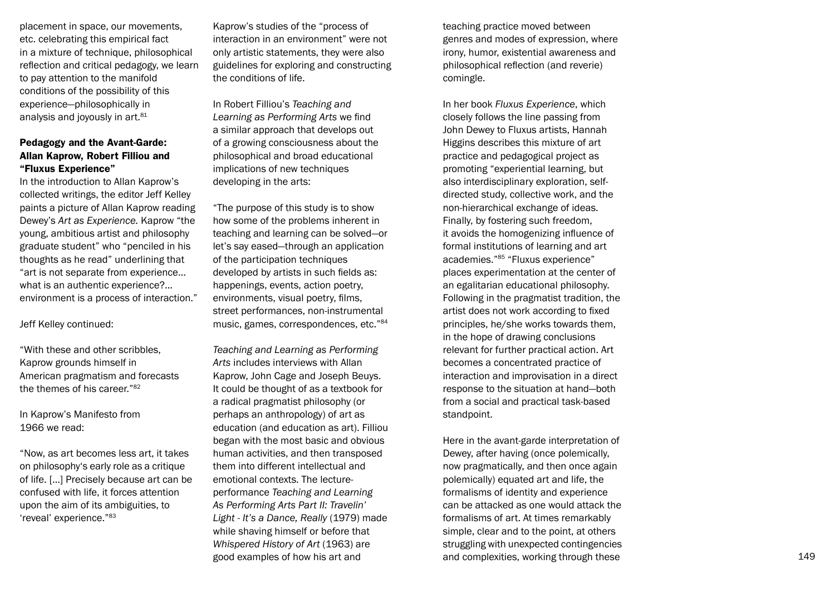placement in space, our movements, etc. celebrating this empirical fact in a mixture of technique, philosophical reflection and critical pedagogy, we learn to pay attention to the manifold conditions of the possibility of this experience—philosophically in analysis and joyously in art.<sup>81</sup>

## Pedagogy and the Avant-Garde: Allan Kaprow, Robert Filliou and "Fluxus Experience"

In the introduction to Allan Kaprow's collected writings, the editor Jeff Kelley paints a picture of Allan Kaprow reading Dewey's *Art as Experience.* Kaprow "the young, ambitious artist and philosophy graduate student" who "penciled in his thoughts as he read" underlining that "art is not separate from experience... what is an authentic experience?... environment is a process of interaction."

Jeff Kelley continued:

"With these and other scribbles, Kaprow grounds himself in American pragmatism and forecasts the themes of his career. "<sup>82</sup>

In Kaprow's Manifesto from 1966 we read:

"Now, as art becomes less art, it takes on philosophy's early role as a critique of life. […] Precisely because art can be confused with life, it forces attention upon the aim of its ambiguities, to 'reveal' experience. "<sup>83</sup>

Kaprow's studies of the "process of interaction in an environment" were not only artistic statements, they were also guidelines for exploring and constructing the conditions of life.

In Robert Filliou's *Teaching and Learning as Performing Arts* we find a similar approach that develops out of a growing consciousness about the philosophical and broad educational implications of new techniques developing in the arts:

"The purpose of this study is to show how some of the problems inherent in teaching and learning can be solved—or let's say eased—through an application of the participation techniques developed by artists in such fields as: happenings, events, action poetry, environments, visual poetry, films, street performances, non-instrumental music, games, correspondences, etc."<sup>84</sup>

*Te aching and Learning as Performing Arts* includes interviews with Allan Kaprow, John Cage and Joseph Beuys. It could be thought of as a textbook for a radical pragmatist philosophy (or perhaps an anthropology) of art as education (and education as art). Filliou began with the most basic and obvious human activities, and then transposed them into different intellectual and emotional contexts. The lectureperformance *Teaching and Learning As Performing Arts Part II: Travelin' Light - It's a Dance, Really* (1979) made while shaving himself or before that *Whispered History of Art* (1963) are good examples of how his art and **complexities, working through these** and complexities, working through these and  $\frac{149}{2}$ 

teaching practice moved between genres and modes of expression, where irony, humor, existential awareness and philosophical reflection (and reverie) comingle.

In her book *Fluxus Experience*, which closely follows the line passing from John Dewey to Fluxus artists, Hannah Higgins describes this mixture of art practice and pedagogical project as promoting "experiential learning, but also interdisciplinary exploration, selfdirected study, collective work, and the non-hierarchical exchange of ideas. Finally, by fostering such freedom, it avoids the homogenizing influence of formal institutions of learning and art academies."<sup>85</sup> "Fluxus experience" places experimentation at the center of an egalitarian educational philosophy. Following in the pragmatist tradition, the artist does not work according to fixed principles, he/she works towards them, in the hope of drawing conclusions relevant for further practical action. Art becomes a concentrated practice of interaction and improvisation in a direct response to the situation at hand—both from a social and practical task-based standpoint.

He re in the avant-garde interpretation of Dewey, after having (once polemically, now pragmatically, and then once again polemically) equated art and life, the formalisms of identity and experience can be attacked as one would attack the formalisms of art. At times remarkably simple, clear and to the point, at others struggling with unexpected contingencies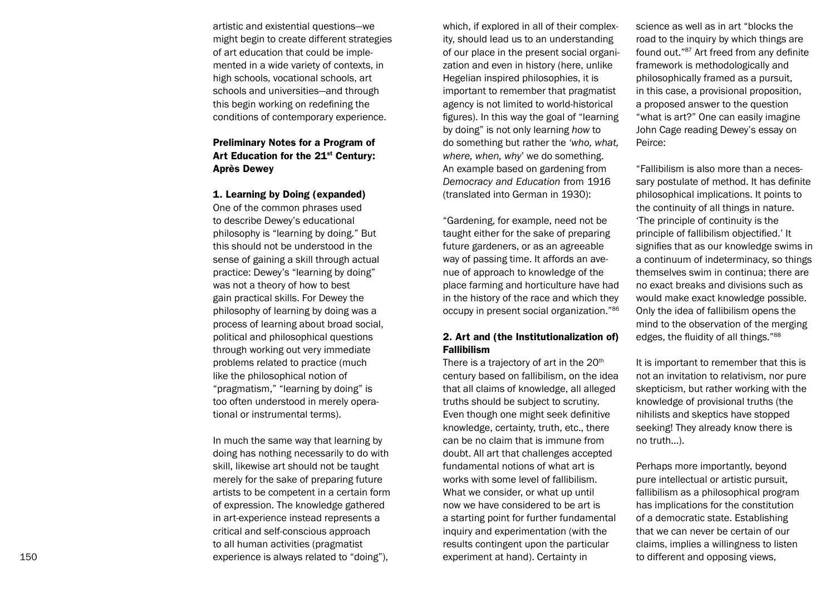artistic and existential questions—we might begin to create different strategies of art education that could be imple mented in a wide variety of contexts, in high schools, vocational schools, art schools and universities—and through this begin working on redefining the conditions of contemporary experience.

# Preliminary Notes for a Program of Art Education for the 21<sup>st</sup> Century: Après Dewey

#### 1. Learning by Doing (expanded)

One of the common phrases used to describe Dewey's educational philosophy is "learning by doing." But this should not be understood in the sense of gaining a skill through actual practice: Dewey's "learning by doing" was not a theory of how to best gain practical skills. For Dewey the philosophy of learning by doing was a process of learning about broad social, political and philosophical questions through working out very immediate problems related to practice (much like the philosophical notion of "pragmatism," "learning by doing" is too often understood in merely opera tional or instrumental terms).

In much the same way that learning by doing has nothing necessarily to do with skill, likewise art should not be taught merely for the sake of preparing future artists to be competent in a certain form of expression. The knowledge gathered in art-experience instead represents a critical and self-conscious approach to all human activities (pragmatist experience is always related to "doing"),

which, if explored in all of their complex ity, should lead us to an understanding of our place in the present social organi zation and even in history (here, unlike Hegelian inspired philosophies, it is important to remember that pragmatist agency is not limited to world-historical figures). In this way the goal of "learning by doing" is not only learning *how* to do something but rather the *'who, what, where, when, why*' we do something. An example based on gardening from *Democracy and Education* from 1916 (translated into German in 1930):

"Gardening, for example, need not be taught either for the sake of preparing future gardeners, or as an agreeable way of passing time. It affords an ave nue of approach to knowledge of the place farming and horticulture have had in the history of the race and which they occupy in present social organization."<sup>86</sup>

## 2. Art and (the Institutionalization of) Fallibilism

There is a trajectory of art in the  $20<sup>th</sup>$ century based on fallibilism, on the idea that all claims of knowledge, all alleged truths should be subject to scrutiny. Even though one might seek definitive knowledge, certainty, truth, etc., there can be no claim that is immune from doubt. All art that challenges accepted fundamental notions of what art is works with some level of fallibilism. What we consider, or what up until now we have considered to be art is a starting point for further fundamental inquiry and experimentation (with the results contingent upon the particular experiment at hand). Certainty in

science as well as in art "blocks the road to the inquiry by which things are found out."<sup>87</sup> Art freed from any definite framework is methodologically and philosophically framed as a pursuit, in this case, a provisional proposition, a proposed answer to the question "what is art?" One can easily imagine John Cage reading Dewey's essay on Peirce:

"Fallibilism is also more than a neces sary postulate of method. It has definite philosophical implications. It points to the continuity of all things in nature. 'The principle of continuity is the principle of fallibilism objectified.' It signifies that as our knowledge swims in a continuum of indeterminacy, so things themselves swim in continua; there are no exact breaks and divisions such as would make exact knowledge possible. Only the idea of fallibilism opens the mind to the observation of the merging edges, the fluidity of all things."<sup>88</sup>

It is important to remember that this is not an invitation to relativism, nor pure skepticism, but rather working with the knowledge of provisional truths (the nihilists and skeptics have stopped seeking! They already know there is no truth…).

Pe rhaps more importantly, beyond pure intellectual or artistic pursuit, fallibilism as a philosophical program has implications for the constitution of a democratic state. Establishing that we can never be certain of our claims, implies a willingness to listen to different and opposing views,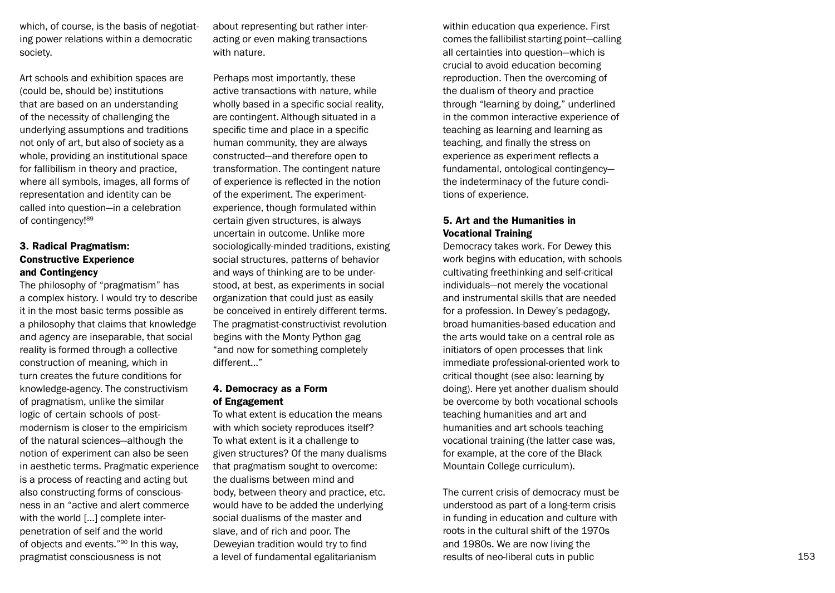which, of course, is the basis of negotiat ing power relations within a democratic society.

Art schools and exhibition spaces are (could be, should be) institutions that are based on an understanding of the necessity of challenging the underlying assumptions and traditions not only of art, but also of society as a whole, providing an institutional space for fallibilism in theory and practice, where all symbols, images, all forms of representation and identity can be called into question—in a celebration of contingency!<sup>89</sup>

## 3. Radical Pragmatism: Constructive Experience and Contingency

The philosophy of "pragmatism" has a complex history. I would try to describe it in the most basic terms possible as a philosophy that claims that knowledge and agency are inseparable, that social reality is formed through a collective construction of meaning, which in turn creates the future conditions for knowledge-agency. The constructivism of pragmatism, unlike the similar logic of certain schools of postmodernism is closer to the empiricism of the natural sciences—although the notion of experiment can also be seen in aesthetic terms. Pragmatic experience is a process of reacting and acting but also constructing forms of conscious ness in an "active and alert commerce with the world […] complete interpenetration of self and the world of objects and events."<sup>90</sup> In this way, pragmatist consciousness is not

about representing but rather inter acting or even making transactions with nature.

Perhaps most importantly, these active transactions with nature, while wholly based in a specific social reality, are contingent. Although situated in a specific time and place in a specific human community, they are always constructed—and therefore open to transformation. The contingent nature of experience is reflected in the notion of the experiment. The experimentexperience, though formulated within certain given structures, is always uncertain in outcome. Unlike more sociologically-minded traditions, existing social structures, patterns of behavior and ways of thinking are to be understood, at best, as experiments in social organization that could just as easily be conceived in entirely different terms. The pragmatist-constructivist revolution begins with the Monty Python gag "and now for something completely different…"

## 4. Democracy as a Form of Engagement

To what extent is education the means with which society reproduces itself? To what extent is it a challenge to given structures? Of the many dualisms that pragmatism sought to overcome: the dualisms between mind and body, between theory and practice, etc. would have to be added the underlying social dualisms of the master and slave, and of rich and poor. The Deweyian tradition would try to find a level of fundamental egalitarianism

within education qua experience. First comes the fallibilist starting point—calling all certainties into question—which is crucial to avoid education becoming reproduction. Then the overcoming of the dualism of theory and practice through "learning by doing," underlined in the common interactive experience of teaching as learning and learning as teaching, and finally the stress on experience as experiment reflects a fundamental, ontological contingency the indeterminacy of the future condi tions of experience.

# 5. Art and the Humanities in Vocational Training

De mocracy takes work. For Dewey this work begins with education, with schools cultivating freethinking and self-critical individuals—not merely the vocational and instrumental skills that are needed for a profession. In Dewey's pedagogy, broad humanities-based education and the arts would take on a central role as initiators of open processes that link immediate professional-oriented work to critical thought (see also: learning by doing). Here yet another dualism should be overcome by both vocational schools teaching humanities and art and humanities and art schools teaching vocational training (the latter case was, for example, at the core of the Black Mountain College curriculum).

The current crisis of democracy must be understood as part of a long-term crisis in funding in education and culture with roots in the cultural shift of the 1970s and 1980s. We are now living the results of neo-liberal cuts in public 153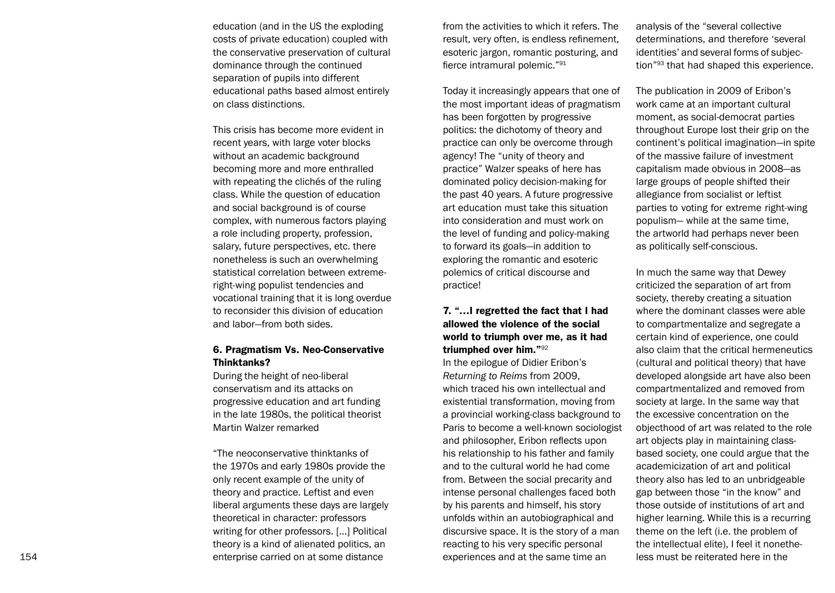education (and in the US the exploding costs of private education) coupled with the conservative preservation of cultural dominance through the continued separation of pupils into different educational paths based almost entirely on class distinctions.

This crisis has become more evident in recent years, with large voter blocks without an academic background becoming more and more enthralled with repeating the clichés of the ruling class. While the question of education and social background is of course complex, with numerous factors playing a role including property, profession, salary, future perspectives, etc. there nonetheless is such an overwhelming statistical correlation between extremeright-wing populist tendencies and vocational training that it is long overdue to reconsider this division of education and labor—from both sides.

## 6. Pragmatism Vs. Neo-Conservative Thinktanks?

During the height of neo-liberal conservatism and its attacks on progressive education and art funding in the late 1980s, the political theorist Martin Walzer remarked

"Th e neoconservative thinktanks of the 1970s and early 1980s provide the only recent example of the unity of theory and practice. Leftist and even liberal arguments these days are largely theoretical in character: professors writing for other professors. […] Political theory is a kind of alienated politics, an enterprise carried on at some distance

from the activities to which it refers. The result, very often, is endless refinement, esoteric jargon, romantic posturing, and fierce intramural polemic."<sup>91</sup>

Today it increasingly appears that one of the most important ideas of pragmatism has been forgotten by progressive politics: the dichotomy of theory and practice can only be overcome through agency! The "unity of theory and practice" Walzer speaks of here has dominated policy decision-making for the past 40 years. A future progressive art education must take this situation into consideration and must work on the level of funding and policy-making to forward its goals—in addition to exploring the romantic and esoteric polemics of critical discourse and practice!

# 7. "…I regretted the fact that I had allowed the violence of the social world to triumph over me, as it had triumphed over him."<sup>92</sup>

In the epilogue of Didier Eribon's *Returning to Reims* from 2009, which traced his own intellectual and existential transformation, moving from a provincial working-class background to Paris to become a well-known sociologist and philosopher, Eribon reflects upon his relationship to his father and family and to the cultural world he had come from. Between the social precarity and intense personal challenges faced both by his parents and himself, his story unfolds within an autobiographical and discursive space. It is the story of a man reacting to his very specific personal experiences and at the same time an

analysis of the "several collective determinations, and therefore 'several identities' and several forms of subjec tion"<sup>93</sup> that had shaped this experience.

Th e publication in 2009 of Eribon's work came at an important cultural moment, as social-democrat parties throughout Europe lost their grip on the continent's political imagination—in spite of the massive failure of investment capitalism made obvious in 2008—as large groups of people shifted their allegiance from socialist or leftist parties to voting for extreme right-wing populism— while at the same time, the artworld had perhaps never been as politically self-conscious.

In much the same way that Dewey criticized the separation of art from society, thereby creating a situation where the dominant classes were able to compartmentalize and segregate a certain kind of experience, one could also claim that the critical hermeneutics (cultural and political theory) that have developed alongside art have also been compartmentalized and removed from society at large. In the same way that the excessive concentration on the objecthood of art was related to the role art objects play in maintaining classbased society, one could argue that the academicization of art and political theory also has led to an unbridgeable gap between those "in the know" and those outside of institutions of art and higher learning. While this is a recurring theme on the left (i.e. the problem of the intellectual elite), I feel it nonethe less must be reiterated here in the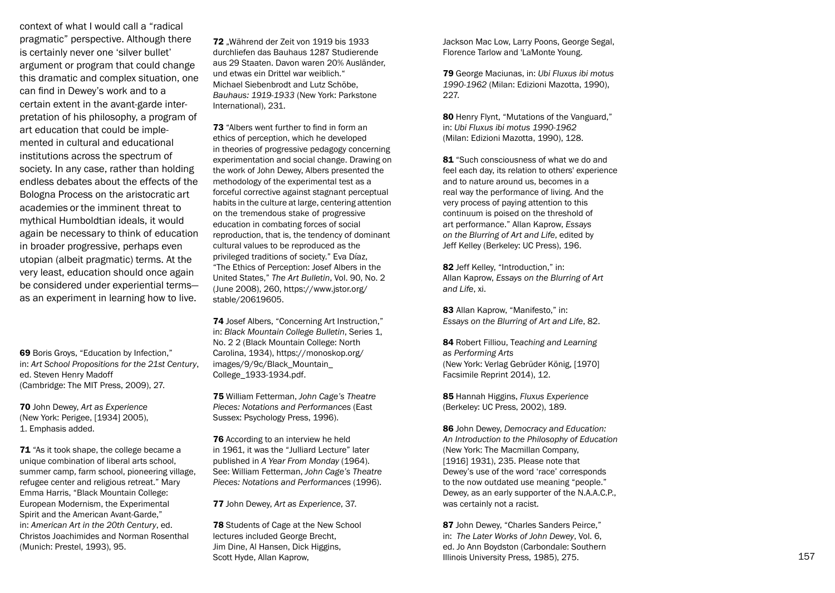context of what I would call a "radical pragmatic" perspective. Although there is certainly never one 'silver bullet' argument or program that could change this dramatic and complex situation, one can find in Dewey's work and to a certain extent in the avant-garde inter pretation of his philosophy, a program of art education that could be imple mented in cultural and educational institutions across the spectrum of society. In any case, rather than holding endless debates about the effects of the Bologna Process on the aristocratic art academies or the imminent threat to mythical Humboldtian ideals, it would again be necessary to think of education in broader progressive, perhaps even utopian (albeit pragmatic) terms. At the very least, education should once again be considered under experiential terms as an experiment in learning how to live.

69 Boris Groys, "Education by Infection," in: *Art School Propositions for the 21st Century*, ed. Steven Henry Madoff (Cambridge: The MIT Press, 2009), 27.

70 John Dewey, *Art as Experience* (New York: Perigee, [1934] 2005), 1. Emphasis added.

71 "As it took shape, the college became a unique combination of liberal arts school, summer camp, farm school, pioneering village, refugee center and religious retreat." Mary Emma Harris, "Black Mountain College: European Modernism, the Experimental Spirit and the American Avant-Garde," in: *American Art in the 20th Century*, ed. Christos Joachimides and Norman Rosenthal (Munich: Prestel, 1993), 95.

72 "Während der Zeit von 1919 bis 1933 durchliefen das Bauhaus 1287 Studierende aus 29 Staaten. Davon waren 20% Ausländer, und etwas ein Drittel war weiblich." Michael Siebenbrodt and Lutz Schöbe, *Bauhaus: 1919-1933* (New York: Parkstone International), 231.

73 "Albers went further to find in form an ethics of perception, which he developed in theories of progressive pedagogy concerning experimentation and social change. Drawing on the work of John Dewey, Albers presented the methodology of the experimental test as a forceful corrective against stagnant perceptual habits in the culture at large, centering attention on the tremendous stake of progressive education in combating forces of social reproduction, that is, the tendency of dominant cultural values to be reproduced as the privileged traditions of society." Eva Díaz, "The Ethics of Perception: Josef Albers in the United States," *The Art Bulletin*, Vol. 90, No. 2 (June 2008), 260, https://www.jstor.org/ stable/20619605.

74 Josef Albers, "Concerning Art Instruction," in: *Black Mountain College Bulletin*, Series 1, No. 2 2 (Black Mountain College: North Carolina, 1934), https://monoskop.org/ images/9/9c/Black\_Mountain\_ College\_1933-1934.pdf.

75 William Fetterman, *John Cage's Theatre Pieces: Notations and Performances* (East Sussex: Psychology Press, 1996).

**76** According to an interview he held in 1961, it was the "Julliard Lecture" later published in *A Year From Monday* (1964). See: William Fetterman, *John Cage's Theatre Pieces: Notations and Performances* (1996).

77 John Dewey, *Art as Experience*, 37.

**78** Students of Cage at the New School lectures included George Brecht, Jim Dine, Al Hansen, Dick Higgins, Scott Hyde, Allan Kaprow,

Jackson Mac Low, Larry Poons, George Segal, Florence Tarlow and 'LaMonte Young.

79 George Maciunas, in: *Ubi Fluxus ibi motus 1990-1962* (Milan: Edizioni Mazotta, 1990), 227.

80 Henry Flynt, "Mutations of the Vanguard," in: *Ubi Fluxus ibi motus 1990-1962* (Milan: Edizioni Mazotta, 1990), 128.

81 "Such consciousness of what we do and feel each day, its relation to others' experience and to nature around us, becomes in a real way the performance of living. And the very process of paying attention to this continuum is poised on the threshold of art performance." Allan Kaprow, *Essays on the Blurring of Art and Life*, edited by Jeff Kelley (Berkeley: UC Press), 196.

82 Jeff Kelley, "Introduction," in: Allan Kaprow, *Essays on the Blurring of Art and Life*, xi.

83 Allan Kaprow, "Manifesto," in: *Essays on the Blurring of Art and Life*, 82.

84 Robert Filliou, T*eaching and Learning as Performing Arts* (New York: Verlag Gebrüder König, [1970] Facsimile Reprint 2014), 12.

85 Hannah Higgins, *Fluxus Experience* (Berkeley: UC Press, 2002), 189.

86 John Dewey, *Democracy and Education: An Introduction to the Philosophy of Education* (New York: The Macmillan Company, [1916] 1931), 235. Please note that Dewey's use of the word 'race' corresponds to the now outdated use meaning "people." Dewey, as an early supporter of the N.A.A.C.P., was certainly not a racist.

87 John Dewey, "Charles Sanders Peirce," in: *The Later Works of John Dewey*, Vol. 6, ed. Jo Ann Boydston (Carbondale: Southern Illinois University Press, 1985), 275. 157 (1988), 1988. 157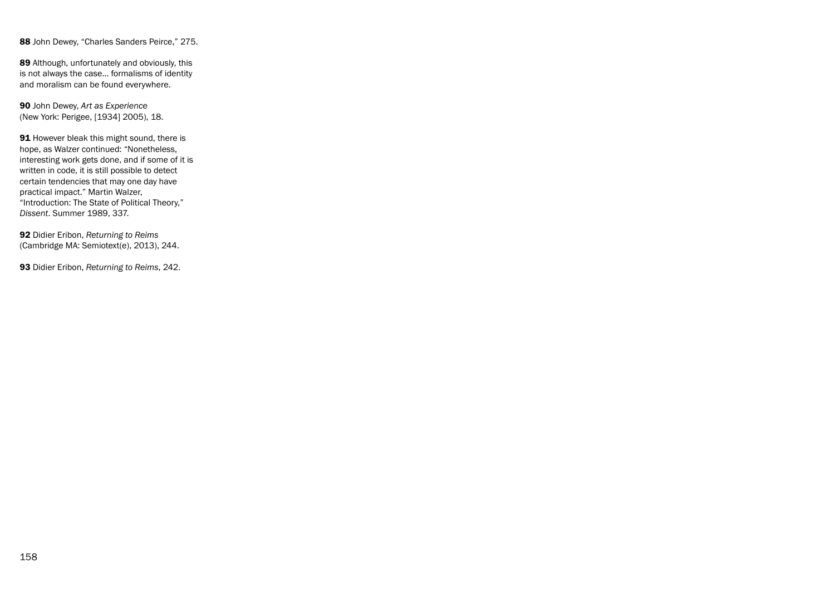88 John Dewey, "Charles Sanders Peirce," 275.

89 Although, unfortunately and obviously, this is not always the case… formalisms of identity and moralism can be found everywhere.

90 John Dewey, *Art as Experience* (New York: Perigee, [1934] 2005), 18.

91 However bleak this might sound, there is hope, as Walzer continued: "Nonetheless, interesting work gets done, and if some of it is written in code, it is still possible to detect certain tendencies that may one day have practical impact." Martin Walzer, "Introduction: The State of Political Theory," *Dissent*. Summer 1989, 337.

92 Didier Eribon, *Returning to Reims* (Cambridge MA: Semiotext(e), 2013), 244.

93 Didier Eribon, *Returning to Reims*, 242.